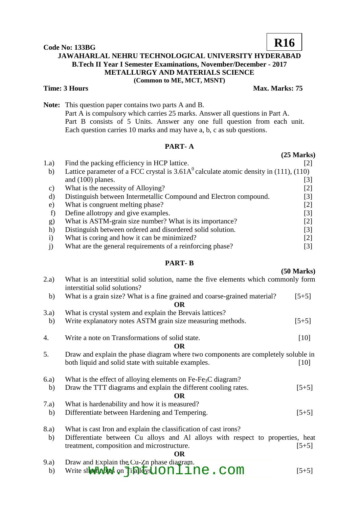### **Code No: 133BG JAWAHARLAL NEHRU TECHNOLOGICAL UNIVERSITY HYDERABAD B.Tech II Year I Semester Examinations, November/December - 2017 METALLURGY AND MATERIALS SCIENCE (Common to ME, MCT, MSNT) R16**

**Time: 3 Hours Max. Marks: 75** 

**Note:** This question paper contains two parts A and B. Part A is compulsory which carries 25 marks. Answer all questions in Part A. Part B consists of 5 Units. Answer any one full question from each unit. Each question carries 10 marks and may have a, b, c as sub questions.

## **PART- A**

| 1.a)         | Find the packing efficiency in HCP lattice.                                             | [2]               |  |
|--------------|-----------------------------------------------------------------------------------------|-------------------|--|
| b)           | Lattice parameter of a FCC crystal is $3.61A0$ calculate atomic density in (111), (110) |                   |  |
|              | and $(100)$ planes.                                                                     | $\lceil 3 \rceil$ |  |
| C)           | What is the necessity of Alloying?                                                      | [2]               |  |
| d)           | Distinguish between Intermetallic Compound and Electron compound.                       | [3]               |  |
| e)           | What is congruent melting phase?                                                        | [2]               |  |
| f)           | Define allotropy and give examples.                                                     | [3]               |  |
| g)           | What is ASTM-grain size number? What is its importance?                                 | [2]               |  |
| h)           | Distinguish between ordered and disordered solid solution.                              | [3]               |  |
| $\mathbf{i}$ | What is coring and how it can be minimized?                                             | $\lceil 2 \rceil$ |  |
|              | What are the general requirements of a reinforcing phase?                               | [3]               |  |

### **PART- B**

#### **(50 Marks)**

**(25 Marks)**

| 2.a) | What is an interstitial solid solution, name the five elements which commonly form<br>interstitial solid solutions? |         |
|------|---------------------------------------------------------------------------------------------------------------------|---------|
| b)   | What is a grain size? What is a fine grained and coarse-grained material?                                           | $[5+5]$ |
|      | OR                                                                                                                  |         |
| 3.a) | What is crystal system and explain the Brevais lattices?                                                            |         |
| b)   | Write explanatory notes ASTM grain size measuring methods.                                                          | $[5+5]$ |
| 4.   | Write a note on Transformations of solid state.                                                                     | $[10]$  |
|      | OR                                                                                                                  |         |
| 5.   | Draw and explain the phase diagram where two components are completely soluble in                                   |         |
|      | both liquid and solid state with suitable examples.                                                                 | [10]    |
| 6.a) | What is the effect of alloying elements on $Fe-Fe3C$ diagram?                                                       |         |
| b)   | Draw the TTT diagrams and explain the different cooling rates.                                                      | $[5+5]$ |
|      | OR                                                                                                                  |         |
| 7.a) | What is hardenability and how it is measured?                                                                       |         |
| b)   | Differentiate between Hardening and Tempering.                                                                      | $[5+5]$ |
| 8.a) | What is cast Iron and explain the classification of cast irons?                                                     |         |
| b)   | Differentiate between Cu alloys and Al alloys with respect to properties, heat                                      |         |
|      | treatment, composition and microstructure.                                                                          | $[5+5]$ |
|      | <b>OR</b>                                                                                                           |         |
| 9.a) | Draw and Explain the Cu-Zn phase diagram.                                                                           |         |

b) Write short with an Indian and Explain the car phase diagram.<br>
b) Write short with an Indian was called a come of  $[5+5]$